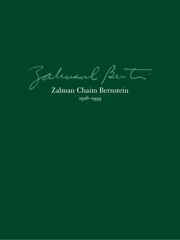Jahnane But

Zalman Chaim Bernstein 1926–1999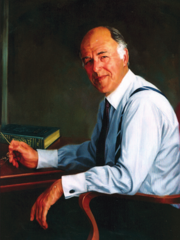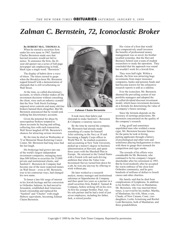# *Zalman C. Bernstein, 72, Iconoclastic Broker*

#### **By ROBERT McG. THOMAS Jr.**

When he started a securities firm under his own name in 1967, Sanford Charles Bernstein made sure that hurried investors would not fail to notice. To announce the firm, the 41year-old upstart ran a series of full-page newspaper ads emphasizing in bold, black type a single word: "Bernstein."

The display of hubris drew a wave of titters. The titters turned to gasps when the Brooklyn-born Mr. Bernstein topped himself with a demonstration of chutzpah that is still reverberating on Wall Street.

At the time, so-called discretionary accounts, in which a broker makes all the investment decisions without consulting the client, were such an industry scandal that the New York Stock Exchange imposed strict controls and many old-line brokers banned them altogether. But Mr. Bernstein announced that he would seek nothing but discretionary accounts.

Given the potential for abuse by unscrupulous brokers tempted to churn accounts by buying and selling, collecting fees with each transaction, Wall Street laughed off Mr. Bernstein's chances for attracting serious investors.

By the time he died on Wednesday at 72 at Memorial Sloan-Kettering Cancer Center, Mr. Bernstein had long since had the last laugh.

His brokerage had grown into one of the world's largest independent investment companies, managing more than \$80 billion in securities for 25,000 private and institutional clients, and Sanford C. Bernstein & Company had become one of the most respected names on Wall Street—even as Mr. Bernstein, true to his contrarian ways, had changed his own name.

To honor a late-life surge of interest in his Jewish heritage and his conversion to Orthodox Judaism, he had moved to Jerusalem, established dual American-Israeli citizenship and replaced his "Sanford" and "Charles" with rough Hebrew equivalents, becoming Zalman Chaim Bernstein.



**Zalman Chaim Bernstein**

It took more than hubris and chutzpah to make Sanford C. Bernstein & Company a runaway success.

By the time he started the company, Mr. Bernstein had already made something of a name for himself. After enlisting in the Navy at 18 and becoming a Supply Corps officer in World War II, he studied economics and accounting at New York University, picked up a master's degree in business administration at Harvard, and spent three years with the Marshall Plan in Europe. He returned to the United States with a French wife and such driving ambition that when the Value Line Investment Survey turned him down for a job, he won one anyway by offering to work without pay.

He later worked as a research analyst, money manager and institutional salesman at Oppenheimer & Company and then spent two years as a partner in a small securities firm, Ralph E. Samuel  $\&$ Company, before striking off on his own. At first his younger brother, Paul, was his sole partner and he had a total of just seven employees, including his father, Jack, a retired jeweler.

His vision of a firm that would give comparatively small investors the benefits of professional money management was so novel, his brother recalled yesterday, that the Harvard Business School sent a team of student researchers to study the operation. They concluded that the approach was sound but wouldn't work for a Jewish firm.

They were half right. Within a decade, the firm was attracting huge investments from major insurance companies, banks and pension funds and had become known for the exhaustive research reports it sold as a sideline.

Ever the iconoclast, Mr. Bernstein shunned the prevailing system of star portfolio managers and adopted the so-called dividend discount investment model, which bases investment decisions on a formula for determining the value of a company's future earnings.

Since the formula depends on the accuracy of earnings projections, Mr. Bernstein concentrated on the quality of the company's research.

A big, gruff and sometimes unpolished man who wielded a mean cigar, Mr. Bernstein became famous for the pains he took in hiring, putting applicants through a battery of psychological and other tests and sometimes playing backgammon or chess with them to gauge their stomach for competition and cigar smoke.

The rewards of his efforts were considerable for Mr. Bernstein, who continued to be his company's largest shareholder after his retirement in 1993. But he lived modestly after he accepted the warm embrace of the close-knit Orthodox community, and he gave hundreds of millions of dollars to Israeli causes and other charities.

His family said that he died from complications of lymphoma. In addition to his brother, who lives in Manhattan, Mr. Bernstein, who was married three times, is survived by his mother, Martha, of Manhattan; his wife, Mem; a son, Claude, of New Canaan, Conn.; two daughters, Leslie Armstrong and Rochel Leah Bernstein, both of Manhattan; and three grandchildren.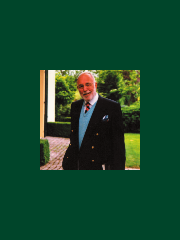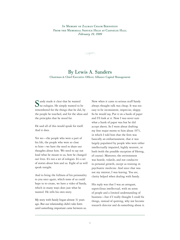IN MEMORY OF ZALMAN CHAIM BERNSTEIN FROM THE MEMORIAL SERVICE HELD AT CARNEGIE HALL *February 19, 1999*



#### By Lewis A. Sanders Chairman & Chief Executive Officer, Alliance Capital Management

 $\bigcap$  andy made it clear that he wanted no eulogies. He simply wanted to be remembered for the things that he did, by the people he touched, and for the ideas and the principles that he stood for.

He said all of this would speak for itself. And it does.

Yet we—the people who were a part of his life, the people who were so close to him—we have the need to share our thoughts about him. We need to say out loud what he meant to us, how he changed our lives. It's not a set of eulogies. It's a set of stories about him and us. Eight of us will speak tonight.

And to bring the fullness of his personality to you once again, which none of us could hope to re-create, we have a video of Sandy, which in many ways does just what he wanted. He tells his own story.

My story with Sandy began almost 31 years ago. But our relationship didn't take form until something important came between us.

Now when it came to serious stuff Sandy always thought talk was cheap. It was too easy to be inconsistent, imprecise, sloppy. So he would say, Put it on a hunk of paper and I'll look at it. Now I was never sure what a hunk of paper was but he did accept sheets. So I went about drafting my first major memo to him about 1971, in which I told him that the firm was basically an embarrassment, that it was largely populated by people who were either intellectually impaired, highly neurotic, or both (with the possible exception of Hertog, of course). Moreover, the environment was hostile, volatile, and not conducive to personal growth, except as training in psychiatric medicine. And since that was not my interest, I was leaving. You see, clarity helped when dealing with Sandy.

His reply was that I was an arrogant, supercilious intellectual, with no sense of people and a limited understanding of business—but if I really thought I could fix things, instead of quitting, why not become research director and do something about it.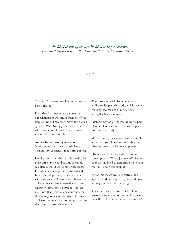#### *He liked to stir up the pot. He liked to be provocative. He would tell me it was all calculated, that it led to better decisions.*



This wasn't the response I expected. And so I took the job.

From that first memo, you can see that our relationship was one of openness of the frankest kind. There were never any hidden agendas. With Sandy you always knew where you stood. Indeed, where he stood was utterly unmistakable.

And we had our stormy moments. Sandy seemed to thrive on turbulence. Tranquillity, consensus, made him anxious.

He liked to stir up the pot. He liked to be provocative. He would tell me it was all calculated, that it led to better decisions. I think he just enjoyed it. It was his style. In fact, he adopted a lexicon consistent with this feature of who he was. It was one of hyperbole, extremes, sexual analogues wherever they seemed germane—no, let me revise that—sexual analogues whether they were germane or not. And, of course, expletives to punctuate his point, to be sure that it was not somehow missed.

Thus, working with Sandy required an ability to decipher this code, which before too long became one of my personal strengths. Some examples:

First, his way of letting you know his point of view: "I'm just livid—this will happen over my dead body!"

What he really meant was: I'm not sure I agree with you, I need to think about it, give me some time before you proceed.

His evaluation of a new idea you've just come up with: "That's just stupid." And for emphasis he liked to exaggerate the "t" and the "u." "That's just s*too*pid!"

What this meant was: He really didn't agree, would never agree—you could do it anyway, but you'd better be right.

Then there was his sweeter side: "I am guaranteeing if you do this for this person, he will thank you for the rest of your life."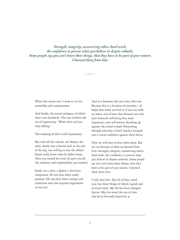*Strength, integrity, unswerving ethics, hard work, the confidence to pursue what you believe in despite setbacks. Some people say you can't learn these things, that they have to be part of your nature. I learned them from him.*



What this meant was: I want to cut his ownership and compensation.

And finally, the sexual analogue, of which there were hundreds. This one involves the art of negotiating: "When she's said yes, stop talking."

The meaning of this is self-explanatory.

But with all the volume, the bluster, the noise, Sandy was a listener and, at the end of the day, was willing to lose the debate. Sandy really knew what he didn't know. Once you earned his trust, he gave you all the authority and responsibility you wanted.

Sandy was a doer, a fighter, a ferocious competitor. He was best when under pressure. He was best when courage and conviction were the required ingredients to succeed.

And in a business like ours they often are. Because this is a business of extremes—of highs that make you feel as if you can walk on water, and of lows that threaten not only your financial well-being but, more important, your self-esteem. Standing up against the crowd is hard. Persevering through adversity is hard. Sandy's strength was a crucial stabilizer against these forces.

Now we will have to bear them alone. But we can because of what we learned from him. Strength, integrity, unswerving ethics, hard work, the confidence to pursue what you believe in despite setbacks. Some people say you can't learn these things, that they have to be part of your nature. I learned them from him.

I will miss him. Not all of him, mind you, but those things of which I speak and so much more. My life has been changed forever. May his stand the test of time that he so fervently hoped for. ■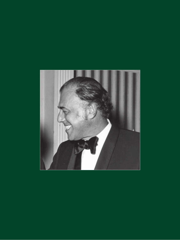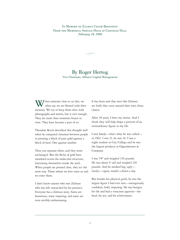IN MEMORY OF ZALMAN CHAIM BERNSTEIN FROM THE MEMORIAL SERVICE HELD AT CARNEGIE HALL *February 19, 1999*



#### By Roger Hertog Vice Chairman, Alliance Capital Management

 $\mathcal T$  hen someone close to us dies, we often say we are blessed with their memory. We try to keep them alive with photographs and stories, but it isn't enough. They are more than moments frozen in time. They have become a part of us.

Theodore Reich described this thought well when he compared closeness between people to pressing a block of pure gold against a block of steel. One against another.

Then you separate them, and they seem unchanged. But the flecks of gold have wandered across the molecular structure, burrowing themselves inside the steel. When people are pressed close, they act the same way. Those whom we love enter us and we enter them.

I don't know anyone who met Zalman who was left untouched by his presence. Everyone has a Zalman story. Some are humorous, some inspiring, and some are even terribly embarrassing.

It has been said that men like Zalman are bulls that carry around their own china closets.

After 38 years, I have my stories. And I think they will help shape a portrait of an extraordinary figure in my life.

I met Sandy—that's what he was called in 1962. I was 21, he was 36. I was a night student at City College and he was the largest producer at Oppenheimer & Company.

I was 5'8" and weighed 130 pounds. He was about 6' tall and weighed 210 pounds. And he smoked big, ugly stinky—cigars, maybe a dozen a day.

But besides his physical girth, he was the largest figure I had ever met—outrageously confident, bold, imposing. He was hungry for life and had a voracious appetite—for food, for sex, and for achievement.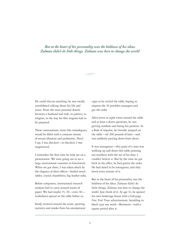#### *But at the heart of his personality was the boldness of his ideas. Zalman didn't do little things. Zalman was here to change the world.*



He could discuss anything; he was totally uninhibited talking about his life and yours. From the most personal details between a husband and wife, to politics, to religion, to the way his filet mignon had to be prepared.

These conversations, more like monologues, would be filled with a constant stream of sexual allusions and profanities. Need I say, I was shocked—so shocked, I was magnetized.

I remember the first time he took me on a presentation. We were going out to see a large institutional customer in Greenwich. When we got there, I was taken aback by the elegance of their offices—burled wood tables, crystal chandeliers, big leather sofas.

Before computers, institutional research analysts had to carry around reams of paper. We had maybe 15, 20—even 30 worksheets spread on the table before us.

Sandy strutted around the room, spewing statistics and smoke from his omnipresent cigar as he circled the table, hoping to impress the 10 portfolio managers and get the order.

After seven or eight times around the table and at least a dozen questions, he was getting nowhere and losing his patience. In a flash of impulse, he literally jumped on the table—all 200 pounds of him—and was suddenly peering down from above.

It was outrageous—this giant of a man was walking up and down this table pointing out numbers with the toe of his shoe. I couldn't believe it. But by the time we got back to the office, he had gotten the order. He had dared to be outrageous, and they loved every minute of it.

But at the heart of his personality was the boldness of his ideas. Zalman didn't do little things. Zalman was here to change the world. Just think of it: At age 41, he opened his own brokerage house with a full-page *New York Times* advertisement, heralding in black type one word—Bernstein—with a square period after it.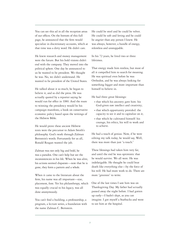You can see this ad in all the reception areas of our offices. On the bottom of this full page, he announced that the firm would specialize in discretionary accounts, which at that time was a dirty word. He didn't care.

He knew research and money management were the future. But his bold visions didn't end with the company. They moved into the political sphere. One day he announced to us he wanted to be president. We thought he was. No, we didn't understand. He wanted to be president of the United States.

He talked about it so much, he began to believe it, and so did the press. He was actually quoted by a reporter saying he would run for office in 1980. And the route to winning the presidency would be his campaign manifesto, a book on conservative economic policy based upon the writings of the Hebrew Bible.

He would prove these ancient Hebrew texts were the precursor to Adam Smith's philosophy. God's work through Zalman Bernstein's words. Fortunately for us all, Ronald Reagan wanted the job.

Zalman was not only big and bold, he was a paradox. One can't help but see the inconsistencies in his life. When he was alive, his actions seemed disparate—now that he is gone, they form a pattern and a whole.

When it came to the literature about the firm, his name was all important—size, placement, font. Yet his philanthropy, which was equally crucial to his legacy, was all done anonymously.

You can't find a building, a professorship, a program, a lecture series, a foundation with the name Zalman C. Bernstein.

He could be steel and he could be velvet. He could be soft and loving and he could be angrier than any person I knew. He was always, however, a bundle of energy, relentless and unstoppable.

In his 72 years, he lived two or three lifetimes.

That energy made him restless, but most of all it compelled him to search for meaning. He was spiritual even before he was Orthodox, and he was always looking for something bigger and more important than himself to believe in.

He had three great blessings:

- that which his ancestry gave him: his God-given raw intellect and creativity;
- that which opportunity provided: the capacity to see it and to capitalize on it;
- that which he cultivated himself: his courage, his ethics, his will to work and to achieve.

He had a touch of genius. Now, if he were editing my talk today, he would say, Well, there was more than just "a touch."

These blessings had taken him very far, and until the end he was optimistic that he would survive. We all were. He was indefatigable. He thought he could beat death like everything else—by the force of his will. He had more work to do. There are more "greenies" to write.

One of the last times I saw him was on Thanksgiving Day. My father had actually passed away the night before. I had gotten up early—I hadn't slept, as you can imagine. I got myself a Starbucks and went to see him at the hospital.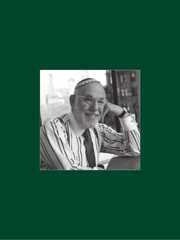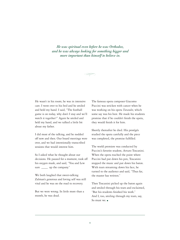*He was spiritual even before he was Orthodox, and he was always looking for something bigger and more important than himself to believe in.*



He wasn't in his room; he was in intensive care. I went over to his bed and he smiled and held my hand. I said, "The football game is on today, why don't I stay and we'll watch it together?" Again he smiled and held my hand, and we talked a little bit about my father.

I did most of the talking, and he nodded off now and then. Our board meetings were over, and we had intentionally transcribed sessions that would interest him.

So I asked what he thought about our decisions. He paused for a moment, took off his oxygen mask, and said, "You and Lew sure \_\_\_\_\_ up the company."

We both laughed that sweet-talking Zalman's generous and loving self was still vital and he was on the road to recovery.

But we were wrong. In little more than a month, he was dead.

The famous opera composer Giacomo Puccini was stricken with cancer when he was working on his opera *Turandot*, which some say was his best. He made his students promise that if he couldn't finish the opera, they would finish it for him.

Shortly thereafter he died. His protégés studied the opera carefully and the piece was completed, the promise fulfilled.

The world premiere was conducted by Puccini's favorite student, Arturo Toscanini. When the opera reached the point where Puccini had put down his pen, Toscanini stopped the music and put down his baton. With tears streaming down his face, he turned to the audience and said, "Thus far, the master has written."

Then Toscanini picked up the baton again and smiled through his tears and exclaimed, "But his students finished his work." And I, too, smiling through my tears, say, So must we. ■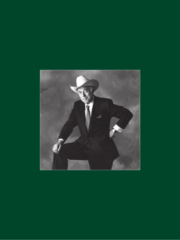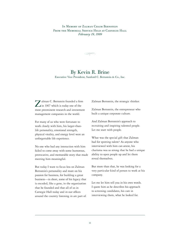IN MEMORY OF ZALMAN CHAIM BERNSTEIN FROM THE MEMORIAL SERVICE HELD AT CARNEGIE HALL *February 19, 1999*



#### By Kevin R. Brine Executive Vice President, Sanford C. Bernstein & Co., Inc.

Zalman C. Bernstein founded a firm<br>in 1967 which is today one of the most preeminent research and investment management companies in the world.

For many of us who were fortunate to work closely with him, his larger-thanlife personality, emotional strength, physical vitality, and energy level were an unforgettable life experience.

No one who had any interaction with him failed to come away with some humorous, provocative, and memorable story that made meeting him meaningful.

But today I want to focus less on Zalman Bernstein's personality and more on his passion for business, for building a great business—in short, some of his legacy that is encoded, like a gene, in the organization that he founded and that all of us in Carnegie Hall today and in our offices around the country listening in are part of. Zalman Bernstein, the strategic thinker.

Zalman Bernstein, the entrepreneur who built a unique corporate culture.

And Zalman Bernstein's approach to recruiting and inspiring talented people. Let me start with people.

What was the special gift that Zalman had for spotting talent? As anyone who interviewed with him can attest, his charisma was so strong that he had a unique ability to open people up and let them reveal themselves.

But more than that, he was looking for a very particular kind of person to work at his company.

Let me let him tell you in his own words. I quote him as he describes his approach to screening candidates, his care in interviewing them, what he looked for.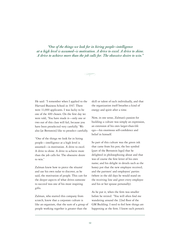*"One of the things we look for in hiring people—intelligence at a high level is assumed—is motivation. A drive to excel. A drive to shine. A drive to achieve more than the job calls for. The obsessive desire to win."*



He said: "I remember when I applied to the Harvard Business School in 1947. There were 11,000 applicants. I was lucky to be one of the 400 chosen. On the first day we were told, 'You have made it-only one or two out of this class will fail, because you have been preselected very carefully.' We also [at Bernstein] like to preselect carefully.

"One of the things we look for in hiring people—intelligence at a high level is assumed—is motivation. A drive to excel. A drive to shine. A drive to achieve more than the job calls for. The obsessive desire to win."

Zalman knew how to pierce the résumé and use his own radar to discover, as he said, the motivation of people. This care for the deeper aspects of what drives someone to succeed was one of his most inspiring gifts.

Zalman, who started this company from scratch, knew that a corporate culture is like an organism, that the sum of a group of people working together is greater than the

skill or talent of each individually, and that the organization itself breathes a kind of energy and spirit after a time.

Now, in one sense, Zalman's passion for building a culture was simply an expression, an extension of his own larger-than-life ego—his enormous self-confidence and belief in himself.

So part of this culture was the green ink that came from his pen; the bee symbol [part of the Bernstein logo] that he delighted in philosophizing about and that was of course the first letter of his own name; and his delight in details such as the honey pot that the new employee received; and the partners' and employees' parties (where in the old days he would stand on the receiving line and greet every employee and his or her spouse personally).

As he put it, when the firm was smaller before he retired: "You will often find me wandering around the 22nd floor of the GM Building. I need to feel how things are happening at the firm. I know each person's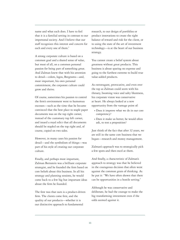name and what each does. I have to feel that it is a familial setting in contrast to our impersonal society. And I believe that our staff recognizes this interest and concern for each and every one of them."

A strong corporate culture is based on a common goal and a shared sense of value, but most of all, on a common personal passion for being part of something great. And Zalman knew that with his attention to detail—colors, logos, Beegrams—and, most important, his own personal commitment, the corporate culture could grow and thrive.

Of course, sometimes his passion to control the firm's environment went to humorous excesses—such as the time that he became convinced that the best place to staple paper documents was on the top right corner, instead of the customary top left corner, and issued a royal edict that all documents should be stapled on the top right and, of course, copied on two sides.

However, in many cases his passion for detail—and the symbolism of things—was part of his style of creating our corporate culture.

Finally, and perhaps most important, Zalman Bernstein was a brilliant corporate strategist, and he founded the firm based on core beliefs about this business. In all his strategy and planning sessions, he would come back to a few big but important ideas about the firm he founded.

The first was that ours is a product-driven firm. The clients come first, and the quality of our products—whether it is our distinctive approach to fundamental

research, to our design of portfolios or product innovations to create the right balance of reward and risk for the client, or to using the state of the art of investment technology—is at the heart of our business strategy.

You cannot create a belief system about greatness without great products. This business is about sparing no expense and going to the furthest extreme to build true value-added products.

As extravagant, provocative, and even over the top as Zalman could seem with his throaty, booming voice and salty bluntness, his corporate vision was conservative at heart. He always looked at a new opportunity from the vantage point of:

- Does it improve what we do in our core competency?
- Does it make us better, he would often ask, to test a proposition?

Just think of the fact that after 32 years, we are still in the same core business that we began—research and money management.

Zalman's approach was to strategically pick a few spots and then excel at them.

And finally, a characteristic of Zalman's approach to strategy was that he believed in the courageous decision that often went against the common grain of thinking. As he put it: "We have often shown that there can be opportunities in a hostile setting."

Although he was conservative and deliberate, he had the courage to make the big transforming investment even if the odds seemed against it.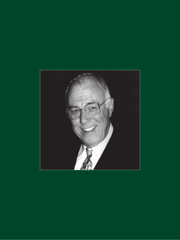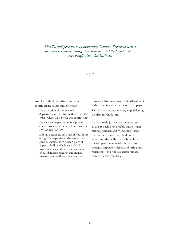*Finally, and perhaps most important, Zalman Bernstein was a brilliant corporate strategist, and he founded the firm based on core beliefs about this business.*



And he made three rather significant contributions to our business today:

- the expansion of the research department in the aftermath of the 1987 crash, when Wall Street was contracting;
- the national expansion of our private client business in the hostile investment environment of 1990;
- and his passionate advocacy for building our global expertise in the same time period, starting with a clean piece of paper to build a whole new global investment capability as an extension of our domestic research and money management skill set, even when this

considerable investment and utilization of the firm's talent had no short-term payoff.

Zalman had an uncanny way of positioning the firm for the future.

It's hard to do justice in a memorial such as this to such a remarkable businessman, business partner, and friend. But I hope that we in this room can build on his legacy and the skills that he brought to the company he founded—in business strategy, corporate culture, and hiring and recruiting—to bring our extraordinary firm to its next chapter  $\blacksquare$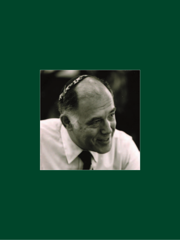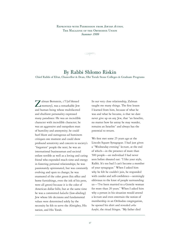Reprinted with Permission from *Jewish Action*, The Magazine of the Orthodox Union *Summer 1999*

### By Rabbi Shlomo Riskin

ego

Chief Rabbi of Efrat, Chancellor & Dean, Ohr Torah Stone Colleges & Graduate Programs

Zalman Bernstein, *z"l* [of blessed]<br>memory], was a remarkable Jew and human being whose multifaceted and ebullient personality expressed many paradoxes: He was an incredible character with incredible character; he was an aggressive and outspoken man of humility and anonymity; he could hurl blunt and outrageous ad hominem critiques one moment and could show profound sensitivity and concern to society's "forgotten" people the next; he was an international businessman and societal enfant terrible as well as a loving and caring friend who expended much time and energy in fostering personal relationships; he was passionately opinionated, but was constantly evolving and open to change; he was enamored of the color green (his office and home furnishings, even the ink of his pens, were all green) because it is the color of American dollar bills; but at the same time he was a committed *halachic* [law-abiding] Jew whose life decisions and fundamental values were determined solely by the necessity he felt to serve the Almighty, His nation, and His Torah.

In our very close relationship, Zalman taught me many things. The first lesson I learned from him, because of what he was and what he became, is that we dare never give up on any Jew, that "an Israelite, no matter how far astray he may wander, remains an Israelite" and always has the potential to return.

We first met some 25 years ago at the Lincoln Square Synagogue. I had just given a "Wednesday evening" lecture, at the end of which—in the presence of more than 500 people—an individual I had never seen before shouted out: "I like your style, Rabbi. It's too bad I can't become a member of your synagogue." When I asked him why he felt he couldn't join, he responded with candor and self-confidence—seemingly oblivious to the knot of people surrounding us—"I've been married to a Gentile woman for more than 20 years." When I asked him why a person in his situation would attend a lecture and even entertain the notion of membership in an Orthodox congregation, he opened his shirt and revealed *arba kanfot*, the ritual fringes. "My father died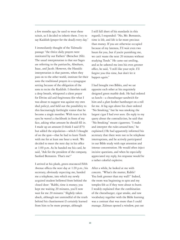a few months ago; he used to wear these tzitzit, so I decided to inherit them. I try to say Kaddish [prayer for the dead] every day."

I immediately thought of the Talmudic passage "the thrice daily prayers were instituted by our Fathers" (Berachor 26b). The usual interpretation is that our Sages are referring to the patriarchs, Abraham, Isaac, and Jacob. However, the Hassidic interpretation is that parents, when they pass on to the other world, institute for their sons the traditional prayers in a synagogue setting because of the obligation of the sons to recite the Kaddish. I therefore took a deep breath, whispered a silent prayer for Divine aid and forgiveness (for what I was about to suggest was against my own shul policy), and held out the possibility to this fascinatingly forthright visitor that he become a single member. With tears in his eyes he waved a checkbook in front of my face, asking what amount he should fill in. I made up an amount (I think I said \$75) but added the stipulation—which I thought of on the spot—that he had to learn Torah with me for at least one hour a week. We decided to meet the next day in his office at 1:00 p.m. As he handed me his card, he said, "Ask for the president of the company, Sanford Bernstein. That's me!"

I arrived at his plush, green ensconced Fifth Avenue offices the next day at 1:20 p.m.; his secretary, obviously expecting me, handed me a telephone, into which my newly acquired student bellowed from behind the closed door: "Rabbi, time is money; you kept me waiting 20 minutes, you'll now wait for me 20 minutes." Slightly taken aback, although not unmindful of the truth behind his chastisement (I certainly learned from him to be more prompt, although

I still fall short of his standards in this regard), I responded: "No, Mr. Bernstein, time is life, and life is far more precious than money. If you are otherwise occupied because of my lateness, I'll wait even two hours for you, but if you're punishing me, we can't waste the next 20 minutes without studying Torah." He came out smiling, and as he ushered me into his even greener office, he said, "I still like your style. I'll forgive you this time, but don't let it happen again."

I had brought two Bibles, and we sat opposite each other at his exquisitely designed green marble desk. He had ordered us lunch—a cheeseburger sandwich for him and a glatt kosher hamburger on a roll for me. A big sign above his chair ordered "No Smoking," but he was smoking the largest cigar I had ever seen. (In reply to my query about the contradiction, he said that "No Smoking" meant cigarettes. "I make and interpret the rules around here," he explained.) He had apparently informed his secretary that there were not to be telephone interruptions, and he actively participated in our Bible study with rapt attention and intense concentration. He would often inject incisive questions, and when he especially appreciated my reply, his response would be a rather colorful expletive.

After a while, he looked at me with concern. "What's the matter, Rabbi? You look greener than my wall!" Indeed, the room was beginning to spin and my temples felt as if they were about to burst. I weakly explained that the combination of the cheeseburger, cigar smoke, and raw vocabulary together with the Bible learning was a contrast that was more than I could manage. Zalman opened a window, put out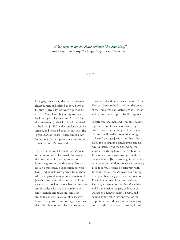#### *A big sign above his chair ordered "No Smoking," but he was smoking the largest cigar I had ever seen.*



his cigar, threw away the mostly uneaten cheeseburger, and offered to give \$180 to Hebrew University for every expletive he uttered. Since I was beginning to come back to myself, I substituted Chabad for the university. (Rabbi J. J. Hecht received a check for \$1,800 at the conclusion of that session, and he asked that I study with the "green *nadvan* [donor]" three times a day.) So began a most auspicious relationship in Torah for both Zalman and me. . . .

The second lesson I learned from Zalman is the importance of a burial place—and the possibility of drawing inspiration from the graves of the righteous. From a certain perspective, a connection between living individuals with grave sites of those who have passed away is an affirmation of Jewish eternity and the continuity of the generations. As long as one has descendants and disciples who live in accordance with one's example and teaching, one lives eternally and continues to influence even beyond the grave. Thus our Sages teach us that Caleb ben Yefuneh had the strength

to withstand and defy the evil report of the 10 scouts because he first visited the grave of the Patriarchs and Matriarchs in Hebron and became duly inspired by the experience.

Shortly after Zalman and I began studying together—and he was soon attending Sabbath services regularly and putting on tefillin [small leather boxes containing scriptural passages] every morning—he asked me to acquire a single grave site for him in Israel. I was then spending the summers with my family on Kibbutz Ein Tzurim, and so I easily arranged with the *chevrah kadisha* [burial society] in Jerusalem for a grave on the Mount of Olives cemetery. True to form, I received a telegram with 12 hours' notice that Zalman was coming to inspect his newly purchased acquisition. The following scorching summer's day, Zalman, a member of the *chevrah kadisha,* and I met outside the gate of Mount of Olives; as a *Kohain* [priest], I remained behind as the other two entered for the inspection. I could hear Zalman shouting, but I couldn't make out his words; I could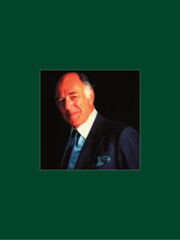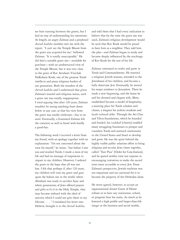see him running between the graves, but I had no way of understanding his intentions. At length, an angry Zalman and a perplexed *chevrah kadisha* member met me with the report. "I can't see the Temple Mount from the grave you acquired for me," bellowed Zalman. "It is totally unacceptable." He did find a suitable grave site—available for purchase—with an unobstructed view of the Temple Mount, but it was very close to the grave of Rav Avraham Yitzchak HaKohain Kook, one of the greatest Torah intellects and pious religious leaders of our generation. Both the member of the *chevrah kadisha* and I understood that given Zalman's marital and religious status, such a grave site was totally inappropriate. I tried arguing that after 120 years, Zalman wouldn't be seeing anything from down below in any case, so that his view from the grave was totally irrelevant—but to no avail. Eventually, a frustrated Zalman left the cemetery as well as Israel with hardly a good-bye.

The following week I received a letter from my friend, with an apology together with an explanation. "I'm not concerned about the view for myself," he wrote, "but before I met you and studied Torah, I made a mess of my life and had no message of inspiration to impart to my children. However, I ordered the grave in the hope that all was not lost. I felt that perhaps if, after 120 years, my children will visit my grave and gaze upon the holiest site in the world, where Abraham was ready to sacrifice Isaac and where generations of Jews offered prayers and gifts to G-d in the Holy Temple, they may become imbued with the ideal of sanctity which I could not give them in my lifetime. . . . " I translated his letter into Hebrew, brought it to the *chevrah kadisha*,

and told them that I had every indication to believe that by the time the grave site was used, Zalman's religious development would be such that Rav Kook would be proud to have him as a neighbor. They sold him the plot—and Zalman began to study and became deeply influenced by the teachings of Rav Kook for the rest of his life.

Zalman continued to evolve and grow in Torah and Commandments. He married a religious Jewish woman, attended to the Jewishness of his children, and became a fully observant Jew. Eventually, he moved his major residence to Jerusalem. There he made a new beginning, and the home he and his devoted and elegant wife, Mem, established became a model of hospitality, a meeting place for Torah scholars and classes, a magnet for yeshiva students and *baalei teshuvah* alike. Through the Avi Chai and Tikva foundations, which he founded and funded, his *tzedakah* [charity] enabled many struggling businesses to prosper and countless Torah and outreach institutions in the United States and Israel to develop and grow. He was the spirit behind the highly visible public relations effort to bring religious and secular Jews closer together, called "Tsav Pius" [Order for Conciliation], and he spared neither time nor expense in encouraging initiatives to make the sacred texts more accessible to every Jew. From Zalman's perspective, Jewish tradition was too important and too universal for it to become the property of the Orthodox alone.

He never agreed, however, to accept an organizational dinner Guest of Honor tribute or to have any institution, school, or program bear his name. As much as he fostered a high profile and larger-than-life image in the business and social worlds,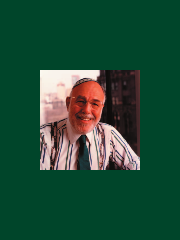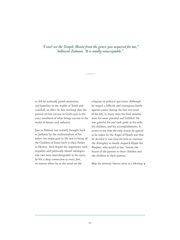*"I can't see the Temple Mount from the grave you acquired for me," bellowed Zalman. "It is totally unacceptable."*



so did he zealously guard anonymity and humility in the worlds of Torah and *tzedakah*; in effect he was teaching that the pursuit of true success in God's eyes is the exact antithesis of what brings success in the world of finance and industry.

Just as Zalman was initially brought back to Judaism by the traditionalism of his father, his major goal in life was to bring all the Children of Israel back to their Father in Heaven. And despite his impatience with stupidity and politically liberal ideologies (the two were interchangeable in his eyes), he felt a deep connection to every Jew, no matter where he or she stood on the

religious or political spectrum. Although he waged a difficult and courageous battle against cancer during the last two years of his life, in many ways his final months were his most peaceful and fulfilled: He was grateful for and took pride in his wife, his children, and his accomplishments. It seems to me that the only reason he agreed to be taken by the Angel of Death was that he decided it was time for him to convince the Almighty to finally dispatch Elijah the Prophet, who would at last "restore the hearts of the parents to their children and the children to their parents."

May his memory forever serve as a blessing. ■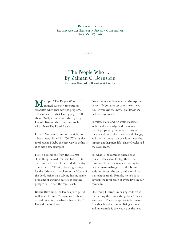Delivered at the Second Annual Bernstein Pension Conference *September 17, 1984*

## The People Who . . . By Zalman C. Bernstein

ego

Chairman, Sanford C. Bernstein & Co., Inc.

'y topic, "The People Who . . . ," aroused curiosity amongst my associates when they saw the program. They wondered what I was going to talk about. Well, let me unveil the mystery. I would like to talk about the people who—have The Royal Reach.

I thank Norman Lamm for the title, from a book he published in 1970. What is the royal reach? Maybe the best way to define it is to cite a few examples.

First, a biblical one from the Psalms: "One thing I asked from the Lord . . . to dwell in the House of the Lord all the days of my life . . . " David, the King, asking for the ultimate . . . a place in the House of the Lord, rather than solving his mundane problems of winning battles or creating prosperity. He had the royal reach.

Robert Browning, the famous poet, put it well when he said, "A man's reach should exceed his grasp, or what's a heaven for?" He had the royal reach.

From the movie *Flashdance*, to the aspiring dancer: "If you give up your dreams, you die." If you saw the movie, you know she had the royal reach.

Socrates, Plato, and Aristotle identified virtue and knowledge and maintained that if people only knew what is right they would do it, their lives would change, and that in the pursuit of wisdom was the highest and happiest life. Those Greeks had the royal reach.

So, what is the common thread that ties all these examples together? The common thread is a majestic craving for nearly unattainable goals and sublime ends far beyond the petty daily ambitions that plague us all. Frankly, my job is to develop the royal reach at every level in our company.

One thing I learned in raising children is that telling them something doesn't mean very much. The same applies in business. It is showing that counts. Being a model and an example is the way we at the head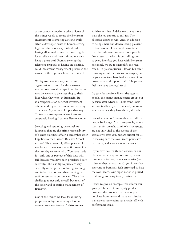of our company motivate others. Some of the things we do to create the Bernstein environment: Promoting a strong work ethic, a developed sense of humor, setting high standards for every little detail, letting all around us see that we struggle for excellence, and then training our own helps a great deal. From answering the telephone properly to having an exciting, valid investment-management process is the mosaic of the royal reach we try to instill.

We try to convince everyone in our organization to reach for the stars—no matter how menial or repetitive their tasks may be, we try to give meaning to their lives when they work at Bernstein. Be it a receptionist or our chief investment officer, working at Bernstein is an exciting experience. My job is to keep it that way. To keep an atmosphere where ideas are constantly flowing from one Bee to another.

Selecting and retaining personnel are functions that are the prime responsibility of a chief executive officer. I remember when I applied to the Harvard Business School in 1947. There were 11,000 applicants. I was lucky to be one of the 400 chosen. On the first day we were told, "You have made it—only one or two out of this class will fail, because you have been preselected very carefully." We also try to preselect very carefully in the process of hiring, training, and indoctrination and then keeping our staff current as to our policies. There is a challenge to not only myself, but to all of the senior and operating management of Bernstein.

One of the things we look for in hiring people—intelligence at a high level is assumed—is motivation. A drive to excel.

A drive to shine. A drive to achieve more than the job appears to call for. The obsessive desire to win. And, in addition to being smart and driven, being pleasant to have around. I have said many times that the only asset we have is our people. From research, which is our calling card, to every interface you have with Bernstein personnel, we try to exemplify the royal reach. It's presumptuous, I know, but after thinking about the various exchanges you or your associates have had with any of our professional and support staffs, I hope you feel they have the royal reach.

It's easy for the front-liners, the research people, the money-management group, our pension asset advisors. These front-liners are constantly in your view, and you know whether or not they have the royal reach.

But what you don't know about are all the people backstage. And these people, whom most, unfortunately, think of as backstage, are not only vital to the success of the services we offer you, but are critical for us in making sure the royal reach permeates Bernstein, and serves you, our clients.

If you have dealt with our lawyers, or our client services or operations staffs, or our computer scientists, or our secretaries (we think of them as assistants), you know that everyone at Bernstein feels stretched to have the royal reach. Our organization is geared to shining, to being totally distinctive.

I want to give an example that affects you greatly. The size of our equity product business, the product that most of you purchase from us—and make no mistake: that size at some point has a trade-off with performance goals.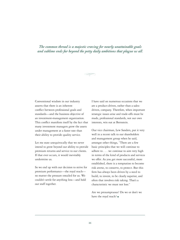#### *The common thread is a majestic craving for nearly unattainable goals and sublime ends far beyond the petty daily ambitions that plague us all.*



Conventional wisdom in our industry asserts that there is an inherent conflict between professional goals and standards—and the business objective of an investment-management organization. This conflict manifests itself by the fact that many investment managers grow the assets under management at a faster rate than their ability to provide quality service.

Let me state unequivocally that we never intend to grow beyond our ability to provide premium returns and service to our clients. If that ever occurs, it would inevitably undermine us.

So we end up with our decision to strive for premium performance—the royal reach no matter the pressure entailed for us. We couldn't settle for anything less—and hold our staff together.

I have said on numerous occasions that we are a product-driven, rather than a salesdriven, company. Therefore, when important strategic issues arise and trade-offs must be made, professional standards, not our own interests, win out at Bernstein.

Our vice chairman, Lew Sanders, put it very well in a recent talk to our shareholders and management group when he said, amongst other things, "There are a few basic principles that we will continue to adhere to . . . we continue to aim very high in terms of the kind of products and services we offer. As you get more successful, more established, there is a temptation to become risk averse, to conserve, to protect. But this firm has always been driven by a need to build, to invent, to be clearly superior, and often that involves risk taking. That's a characteristic we must not lose."

Are we presumptuous? Do we or don't we have the royal reach? ■